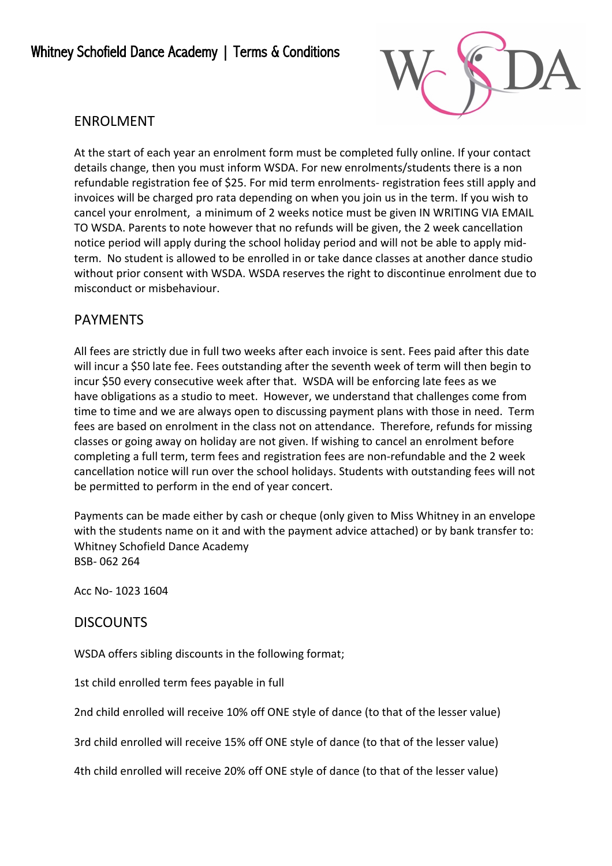

## ENROLMENT

At the start of each year an enrolment form must be completed fully online. If your contact details change, then you must inform WSDA. For new enrolments/students there is a non refundable registration fee of \$25. For mid term enrolments- registration fees still apply and invoices will be charged pro rata depending on when you join us in the term. If you wish to cancel your enrolment, a minimum of 2 weeks notice must be given IN WRITING VIA EMAIL TO WSDA. Parents to note however that no refunds will be given, the 2 week cancellation notice period will apply during the school holiday period and will not be able to apply midterm. No student is allowed to be enrolled in or take dance classes at another dance studio without prior consent with WSDA. WSDA reserves the right to discontinue enrolment due to misconduct or misbehaviour.

## PAYMENTS

All fees are strictly due in full two weeks after each invoice is sent. Fees paid after this date will incur a \$50 late fee. Fees outstanding after the seventh week of term will then begin to incur \$50 every consecutive week after that. WSDA will be enforcing late fees as we have obligations as a studio to meet. However, we understand that challenges come from time to time and we are always open to discussing payment plans with those in need. Term fees are based on enrolment in the class not on attendance. Therefore, refunds for missing classes or going away on holiday are not given. If wishing to cancel an enrolment before completing a full term, term fees and registration fees are non-refundable and the 2 week cancellation notice will run over the school holidays. Students with outstanding fees will not be permitted to perform in the end of year concert.

Payments can be made either by cash or cheque (only given to Miss Whitney in an envelope with the students name on it and with the payment advice attached) or by bank transfer to: Whitney Schofield Dance Academy BSB- 062 264

Acc No- 1023 1604

### **DISCOUNTS**

WSDA offers sibling discounts in the following format;

1st child enrolled term fees payable in full

2nd child enrolled will receive 10% off ONE style of dance (to that of the lesser value)

3rd child enrolled will receive 15% off ONE style of dance (to that of the lesser value)

4th child enrolled will receive 20% off ONE style of dance (to that of the lesser value)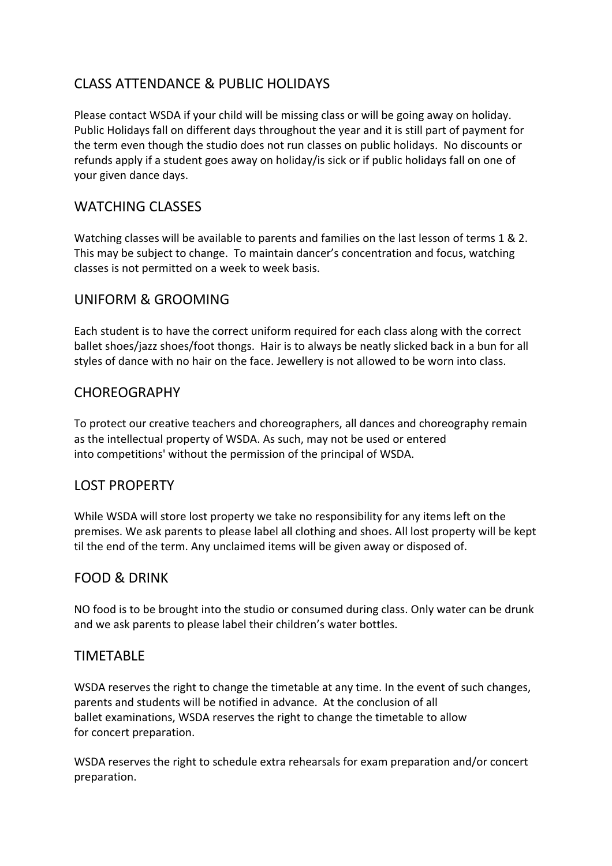# CLASS ATTENDANCE & PUBLIC HOLIDAYS

Please contact WSDA if your child will be missing class or will be going away on holiday. Public Holidays fall on different days throughout the year and it is still part of payment for the term even though the studio does not run classes on public holidays. No discounts or refunds apply if a student goes away on holiday/is sick or if public holidays fall on one of your given dance days.

### WATCHING CLASSES

Watching classes will be available to parents and families on the last lesson of terms 1 & 2. This may be subject to change. To maintain dancer's concentration and focus, watching classes is not permitted on a week to week basis.

### UNIFORM & GROOMING

Each student is to have the correct uniform required for each class along with the correct ballet shoes/jazz shoes/foot thongs. Hair is to always be neatly slicked back in a bun for all styles of dance with no hair on the face. Jewellery is not allowed to be worn into class.

### **CHOREOGRAPHY**

To protect our creative teachers and choreographers, all dances and choreography remain as the intellectual property of WSDA. As such, may not be used or entered into competitions' without the permission of the principal of WSDA.

### LOST PROPERTY

While WSDA will store lost property we take no responsibility for any items left on the premises. We ask parents to please label all clothing and shoes. All lost property will be kept til the end of the term. Any unclaimed items will be given away or disposed of.

#### FOOD & DRINK

NO food is to be brought into the studio or consumed during class. Only water can be drunk and we ask parents to please label their children's water bottles.

#### TIMETABLE

WSDA reserves the right to change the timetable at any time. In the event of such changes, parents and students will be notified in advance. At the conclusion of all ballet examinations, WSDA reserves the right to change the timetable to allow for concert preparation.

WSDA reserves the right to schedule extra rehearsals for exam preparation and/or concert preparation.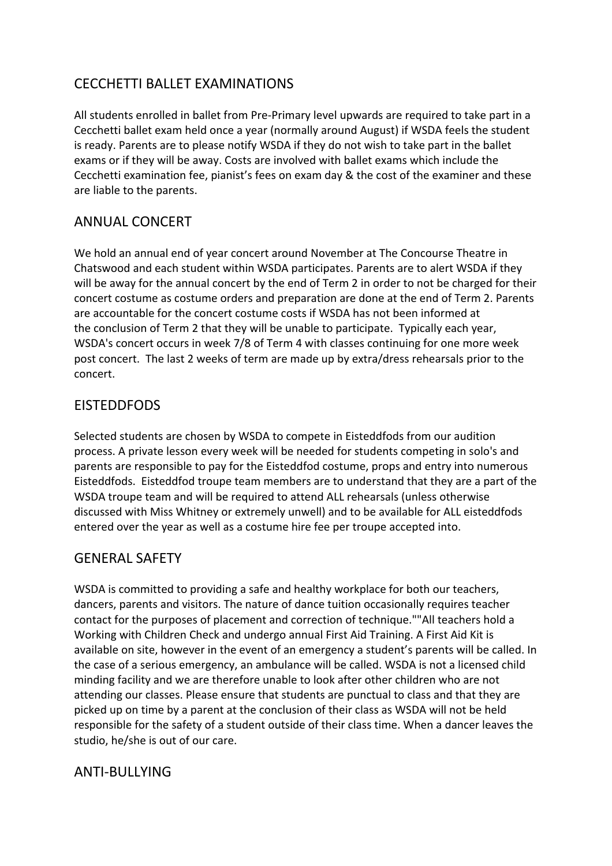## CECCHETTI BALLET EXAMINATIONS

All students enrolled in ballet from Pre-Primary level upwards are required to take part in a Cecchetti ballet exam held once a year (normally around August) if WSDA feels the student is ready. Parents are to please notify WSDA if they do not wish to take part in the ballet exams or if they will be away. Costs are involved with ballet exams which include the Cecchetti examination fee, pianist's fees on exam day & the cost of the examiner and these are liable to the parents.

## ANNUAL CONCERT

We hold an annual end of year concert around November at The Concourse Theatre in Chatswood and each student within WSDA participates. Parents are to alert WSDA if they will be away for the annual concert by the end of Term 2 in order to not be charged for their concert costume as costume orders and preparation are done at the end of Term 2. Parents are accountable for the concert costume costs if WSDA has not been informed at the conclusion of Term 2 that they will be unable to participate. Typically each year, WSDA's concert occurs in week 7/8 of Term 4 with classes continuing for one more week post concert. The last 2 weeks of term are made up by extra/dress rehearsals prior to the concert.

## EISTEDDFODS

Selected students are chosen by WSDA to compete in Eisteddfods from our audition process. A private lesson every week will be needed for students competing in solo's and parents are responsible to pay for the Eisteddfod costume, props and entry into numerous Eisteddfods. Eisteddfod troupe team members are to understand that they are a part of the WSDA troupe team and will be required to attend ALL rehearsals (unless otherwise discussed with Miss Whitney or extremely unwell) and to be available for ALL eisteddfods entered over the year as well as a costume hire fee per troupe accepted into.

### GENERAL SAFETY

WSDA is committed to providing a safe and healthy workplace for both our teachers, dancers, parents and visitors. The nature of dance tuition occasionally requires teacher contact for the purposes of placement and correction of technique.""All teachers hold a Working with Children Check and undergo annual First Aid Training. A First Aid Kit is available on site, however in the event of an emergency a student's parents will be called. In the case of a serious emergency, an ambulance will be called. WSDA is not a licensed child minding facility and we are therefore unable to look after other children who are not attending our classes. Please ensure that students are punctual to class and that they are picked up on time by a parent at the conclusion of their class as WSDA will not be held responsible for the safety of a student outside of their class time. When a dancer leaves the studio, he/she is out of our care.

## ANTI-BULLYING